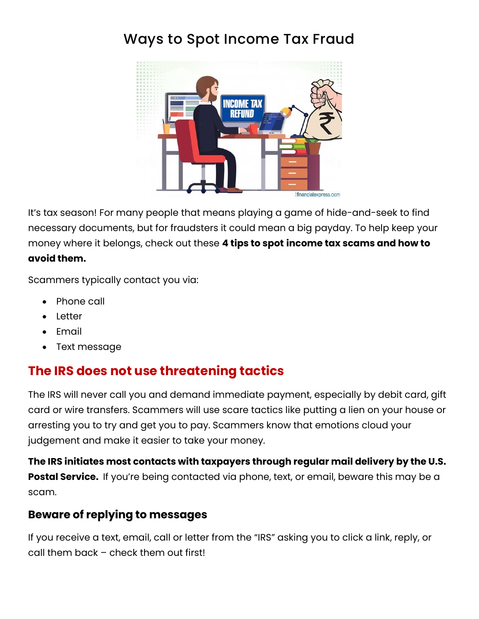# Ways to Spot Income Tax Fraud



It's tax season! For many people that means playing a game of hide-and-seek to find necessary documents, but for fraudsters it could mean a big payday. To help keep your money where it belongs, check out these **4 tips to spot income tax scams and how to avoid them.**

Scammers typically contact you via:

- Phone call
- Letter
- Email
- Text message

## **The IRS does not use threatening tactics**

The IRS will never call you and demand immediate payment, especially by debit card, gift card or wire transfers. Scammers will use scare tactics like putting a lien on your house or arresting you to try and get you to pay. Scammers know that emotions cloud your judgement and make it easier to take your money.

**The IRS initiates most contacts with taxpayers through regular mail delivery by the U.S. Postal Service.** If you're being contacted via phone, text, or email, beware this may be a scam.

### **Beware of replying to messages**

If you receive a text, email, call or letter from the "IRS" asking you to click a link, reply, or call them back – check them out first!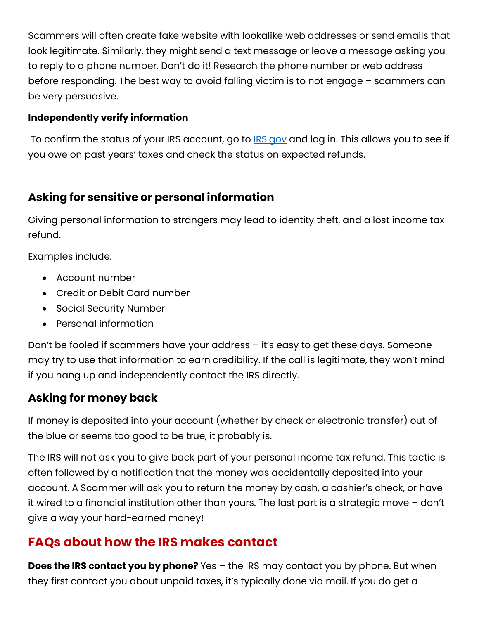Scammers will often create fake website with lookalike web addresses or send emails that look legitimate. Similarly, they might send a text message or leave a message asking you to reply to a phone number. Don't do it! Research the phone number or web address before responding. The best way to avoid falling victim is to not engage – scammers can be very persuasive.

#### **Independently verify information**

To confirm the status of your IRS account, go to **IRS.gov** and log in. This allows you to see if you owe on past years' taxes and check the status on expected refunds.

#### **Asking for sensitive or personal information**

Giving personal information to strangers may lead to identity theft, and a lost income tax refund.

Examples include:

- Account number
- Credit or Debit Card number
- Social Security Number
- Personal information

Don't be fooled if scammers have your address – it's easy to get these days. Someone may try to use that information to earn credibility. If the call is legitimate, they won't mind if you hang up and independently contact the IRS directly.

### **Asking for money back**

If money is deposited into your account (whether by check or electronic transfer) out of the blue or seems too good to be true, it probably is.

The IRS will not ask you to give back part of your personal income tax refund. This tactic is often followed by a notification that the money was accidentally deposited into your account. A Scammer will ask you to return the money by cash, a cashier's check, or have it wired to a financial institution other than yours. The last part is a strategic move – don't give a way your hard-earned money!

## **FAQs about how the IRS makes contact**

**Does the IRS contact you by phone?** Yes – the IRS may contact you by phone. But when they first contact you about unpaid taxes, it's typically done via mail. If you do get a